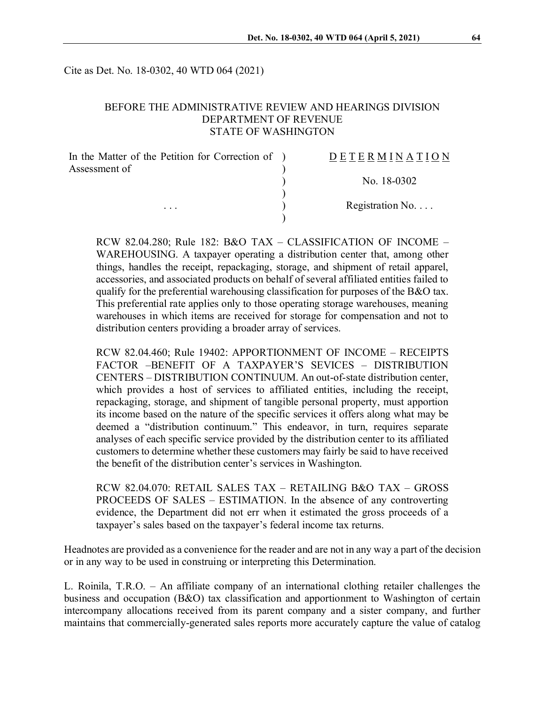Cite as Det. No. 18-0302, 40 WTD 064 (2021)

### BEFORE THE ADMINISTRATIVE REVIEW AND HEARINGS DIVISION DEPARTMENT OF REVENUE STATE OF WASHINGTON

| In the Matter of the Petition for Correction of ) | <b>DETERMINATION</b>     |
|---------------------------------------------------|--------------------------|
| Assessment of<br>$\cdots$                         |                          |
|                                                   | No. 18-0302              |
|                                                   | Registration No. $\dots$ |
|                                                   |                          |

RCW 82.04.280; Rule 182: B&O TAX – CLASSIFICATION OF INCOME – WAREHOUSING. A taxpayer operating a distribution center that, among other things, handles the receipt, repackaging, storage, and shipment of retail apparel, accessories, and associated products on behalf of several affiliated entities failed to qualify for the preferential warehousing classification for purposes of the B&O tax. This preferential rate applies only to those operating storage warehouses, meaning warehouses in which items are received for storage for compensation and not to distribution centers providing a broader array of services.

RCW 82.04.460; Rule 19402: APPORTIONMENT OF INCOME – RECEIPTS FACTOR –BENEFIT OF A TAXPAYER'S SEVICES – DISTRIBUTION CENTERS – DISTRIBUTION CONTINUUM. An out-of-state distribution center, which provides a host of services to affiliated entities, including the receipt, repackaging, storage, and shipment of tangible personal property, must apportion its income based on the nature of the specific services it offers along what may be deemed a "distribution continuum." This endeavor, in turn, requires separate analyses of each specific service provided by the distribution center to its affiliated customers to determine whether these customers may fairly be said to have received the benefit of the distribution center's services in Washington.

RCW 82.04.070: RETAIL SALES TAX – RETAILING B&O TAX – GROSS PROCEEDS OF SALES – ESTIMATION. In the absence of any controverting evidence, the Department did not err when it estimated the gross proceeds of a taxpayer's sales based on the taxpayer's federal income tax returns.

Headnotes are provided as a convenience for the reader and are not in any way a part of the decision or in any way to be used in construing or interpreting this Determination.

L. Roinila, T.R.O. – An affiliate company of an international clothing retailer challenges the business and occupation (B&O) tax classification and apportionment to Washington of certain intercompany allocations received from its parent company and a sister company, and further maintains that commercially-generated sales reports more accurately capture the value of catalog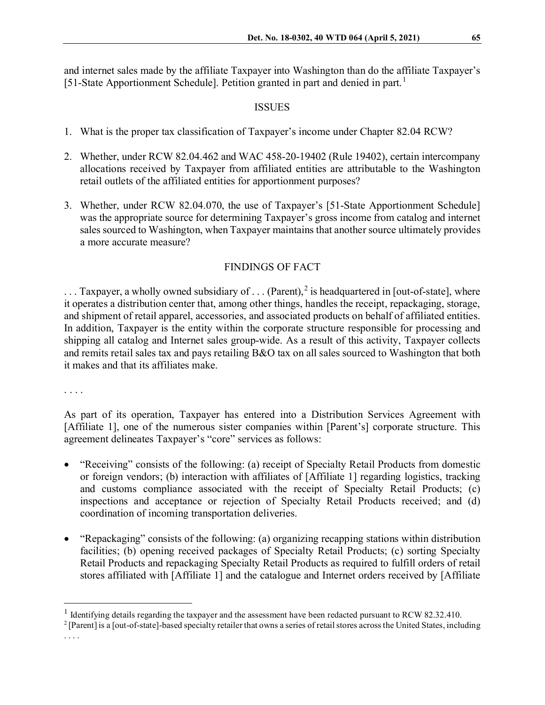and internet sales made by the affiliate Taxpayer into Washington than do the affiliate Taxpayer's [5[1](#page-1-0)-State Apportionment Schedule]. Petition granted in part and denied in part.<sup>1</sup>

## ISSUES

- 1. What is the proper tax classification of Taxpayer's income under Chapter 82.04 RCW?
- 2. Whether, under RCW 82.04.462 and WAC 458-20-19402 (Rule 19402), certain intercompany allocations received by Taxpayer from affiliated entities are attributable to the Washington retail outlets of the affiliated entities for apportionment purposes?
- 3. Whether, under RCW 82.04.070, the use of Taxpayer's [51-State Apportionment Schedule] was the appropriate source for determining Taxpayer's gross income from catalog and internet sales sourced to Washington, when Taxpayer maintains that another source ultimately provides a more accurate measure?

# FINDINGS OF FACT

 $\ldots$  Taxpayer, a wholly owned subsidiary of  $\ldots$  (Parent),<sup>[2](#page-1-1)</sup> is headquartered in [out-of-state], where it operates a distribution center that, among other things, handles the receipt, repackaging, storage, and shipment of retail apparel, accessories, and associated products on behalf of affiliated entities. In addition, Taxpayer is the entity within the corporate structure responsible for processing and shipping all catalog and Internet sales group-wide. As a result of this activity, Taxpayer collects and remits retail sales tax and pays retailing B&O tax on all sales sourced to Washington that both it makes and that its affiliates make.

. . . .

As part of its operation, Taxpayer has entered into a Distribution Services Agreement with [Affiliate 1], one of the numerous sister companies within [Parent's] corporate structure. This agreement delineates Taxpayer's "core" services as follows:

- "Receiving" consists of the following: (a) receipt of Specialty Retail Products from domestic or foreign vendors; (b) interaction with affiliates of [Affiliate 1] regarding logistics, tracking and customs compliance associated with the receipt of Specialty Retail Products; (c) inspections and acceptance or rejection of Specialty Retail Products received; and (d) coordination of incoming transportation deliveries.
- "Repackaging" consists of the following: (a) organizing recapping stations within distribution facilities; (b) opening received packages of Specialty Retail Products; (c) sorting Specialty Retail Products and repackaging Specialty Retail Products as required to fulfill orders of retail stores affiliated with [Affiliate 1] and the catalogue and Internet orders received by [Affiliate

. . . .

<span id="page-1-0"></span><sup>&</sup>lt;sup>1</sup> Identifying details regarding the taxpayer and the assessment have been redacted pursuant to RCW 82.32.410.

<span id="page-1-1"></span><sup>2</sup> [Parent] is a [out-of-state]-based specialty retailer that owns a series of retail stores across the United States, including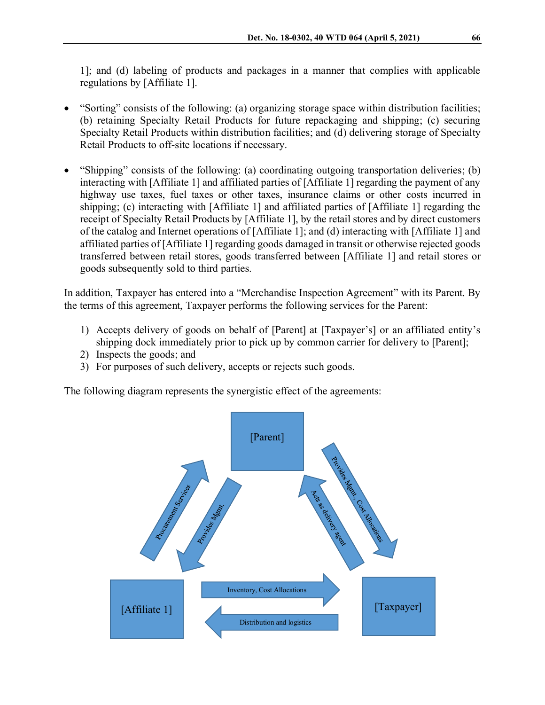1]; and (d) labeling of products and packages in a manner that complies with applicable regulations by [Affiliate 1].

- "Sorting" consists of the following: (a) organizing storage space within distribution facilities; (b) retaining Specialty Retail Products for future repackaging and shipping; (c) securing Specialty Retail Products within distribution facilities; and (d) delivering storage of Specialty Retail Products to off-site locations if necessary.
- "Shipping" consists of the following: (a) coordinating outgoing transportation deliveries; (b) interacting with [Affiliate 1] and affiliated parties of [Affiliate 1] regarding the payment of any highway use taxes, fuel taxes or other taxes, insurance claims or other costs incurred in shipping; (c) interacting with [Affiliate 1] and affiliated parties of [Affiliate 1] regarding the receipt of Specialty Retail Products by [Affiliate 1], by the retail stores and by direct customers of the catalog and Internet operations of [Affiliate 1]; and (d) interacting with [Affiliate 1] and affiliated parties of [Affiliate 1] regarding goods damaged in transit or otherwise rejected goods transferred between retail stores, goods transferred between [Affiliate 1] and retail stores or goods subsequently sold to third parties.

In addition, Taxpayer has entered into a "Merchandise Inspection Agreement" with its Parent. By the terms of this agreement, Taxpayer performs the following services for the Parent:

- 1) Accepts delivery of goods on behalf of [Parent] at [Taxpayer's] or an affiliated entity's shipping dock immediately prior to pick up by common carrier for delivery to [Parent];
- 2) Inspects the goods; and
- 3) For purposes of such delivery, accepts or rejects such goods.

The following diagram represents the synergistic effect of the agreements:

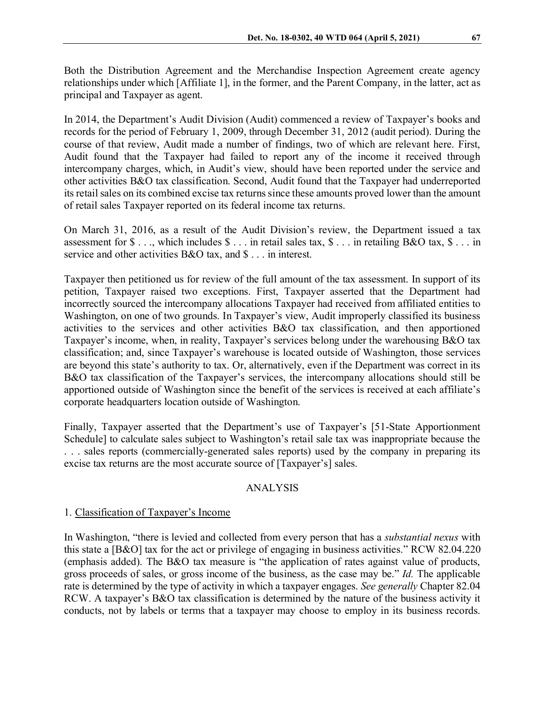Both the Distribution Agreement and the Merchandise Inspection Agreement create agency relationships under which [Affiliate 1], in the former, and the Parent Company, in the latter, act as principal and Taxpayer as agent.

In 2014, the Department's Audit Division (Audit) commenced a review of Taxpayer's books and records for the period of February 1, 2009, through December 31, 2012 (audit period). During the course of that review, Audit made a number of findings, two of which are relevant here. First, Audit found that the Taxpayer had failed to report any of the income it received through intercompany charges, which, in Audit's view, should have been reported under the service and other activities B&O tax classification. Second, Audit found that the Taxpayer had underreported its retail sales on its combined excise tax returns since these amounts proved lower than the amount of retail sales Taxpayer reported on its federal income tax returns.

On March 31, 2016, as a result of the Audit Division's review, the Department issued a tax assessment for  $\$\ldots$$ , which includes  $\$\ldots$$  in retail sales tax,  $\$\ldots$$  in retailing B&O tax,  $\$\ldots$$  in service and other activities B&O tax, and \$ . . . in interest.

Taxpayer then petitioned us for review of the full amount of the tax assessment. In support of its petition, Taxpayer raised two exceptions. First, Taxpayer asserted that the Department had incorrectly sourced the intercompany allocations Taxpayer had received from affiliated entities to Washington, on one of two grounds. In Taxpayer's view, Audit improperly classified its business activities to the services and other activities B&O tax classification, and then apportioned Taxpayer's income, when, in reality, Taxpayer's services belong under the warehousing B&O tax classification; and, since Taxpayer's warehouse is located outside of Washington, those services are beyond this state's authority to tax. Or, alternatively, even if the Department was correct in its B&O tax classification of the Taxpayer's services, the intercompany allocations should still be apportioned outside of Washington since the benefit of the services is received at each affiliate's corporate headquarters location outside of Washington.

Finally, Taxpayer asserted that the Department's use of Taxpayer's [51-State Apportionment Schedule] to calculate sales subject to Washington's retail sale tax was inappropriate because the . . . sales reports (commercially-generated sales reports) used by the company in preparing its excise tax returns are the most accurate source of [Taxpayer's] sales.

#### ANALYSIS

#### 1. Classification of Taxpayer's Income

In Washington, "there is levied and collected from every person that has a *substantial nexus* with this state a [B&O] tax for the act or privilege of engaging in business activities." RCW 82.04.220 (emphasis added). The B&O tax measure is "the application of rates against value of products, gross proceeds of sales, or gross income of the business, as the case may be." *Id.* The applicable rate is determined by the type of activity in which a taxpayer engages. *See generally* Chapter 82.04 RCW. A taxpayer's B&O tax classification is determined by the nature of the business activity it conducts, not by labels or terms that a taxpayer may choose to employ in its business records.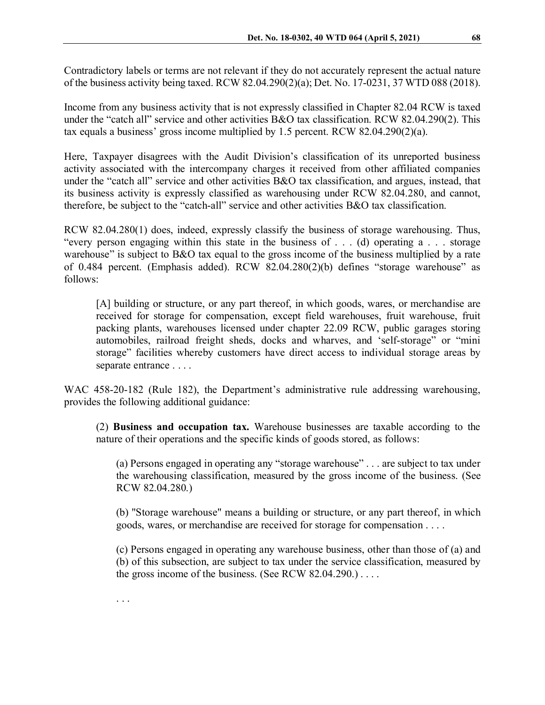Contradictory labels or terms are not relevant if they do not accurately represent the actual nature of the business activity being taxed. RCW 82.04.290(2)(a); Det. No. 17-0231, 37 WTD 088 (2018).

Income from any business activity that is not expressly classified in Chapter 82.04 RCW is taxed under the "catch all" service and other activities B&O tax classification. RCW 82.04.290(2). This tax equals a business' gross income multiplied by 1.5 percent. RCW 82.04.290(2)(a).

Here, Taxpayer disagrees with the Audit Division's classification of its unreported business activity associated with the intercompany charges it received from other affiliated companies under the "catch all" service and other activities B&O tax classification, and argues, instead, that its business activity is expressly classified as warehousing under RCW 82.04.280, and cannot, therefore, be subject to the "catch-all" service and other activities B&O tax classification.

RCW 82.04.280(1) does, indeed, expressly classify the business of storage warehousing. Thus, "every person engaging within this state in the business of . . . (d) operating a . . . storage warehouse" is subject to B&O tax equal to the gross income of the business multiplied by a rate of 0.484 percent. (Emphasis added). RCW 82.04.280(2)(b) defines "storage warehouse" as follows:

[A] building or structure, or any part thereof, in which goods, wares, or merchandise are received for storage for compensation, except field warehouses, fruit warehouse, fruit packing plants, warehouses licensed under chapter 22.09 RCW, public garages storing automobiles, railroad freight sheds, docks and wharves, and 'self-storage" or "mini storage" facilities whereby customers have direct access to individual storage areas by separate entrance . . . .

WAC 458-20-182 (Rule 182), the Department's administrative rule addressing warehousing, provides the following additional guidance:

(2) **Business and occupation tax.** Warehouse businesses are taxable according to the nature of their operations and the specific kinds of goods stored, as follows:

(a) Persons engaged in operating any "storage warehouse" . . . are subject to tax under the warehousing classification, measured by the gross income of the business. (See RCW 82.04.280.)

(b) "Storage warehouse" means a building or structure, or any part thereof, in which goods, wares, or merchandise are received for storage for compensation . . . .

(c) Persons engaged in operating any warehouse business, other than those of (a) and (b) of this subsection, are subject to tax under the service classification, measured by the gross income of the business. (See RCW  $82.04.290$ .)...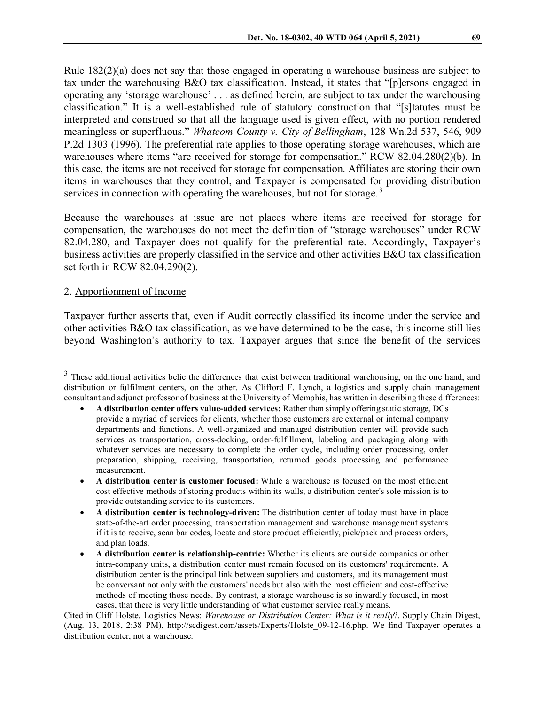Rule 182(2)(a) does not say that those engaged in operating a warehouse business are subject to tax under the warehousing B&O tax classification. Instead, it states that "[p]ersons engaged in operating any 'storage warehouse' . . . as defined herein, are subject to tax under the warehousing classification." It is a well-established rule of statutory construction that "[s]tatutes must be interpreted and construed so that all the language used is given effect, with no portion rendered meaningless or superfluous." *Whatcom County v. City of Bellingham*, 128 Wn.2d 537, 546, 909 P.2d 1303 (1996). The preferential rate applies to those operating storage warehouses, which are warehouses where items "are received for storage for compensation." RCW 82.04.280(2)(b). In this case, the items are not received for storage for compensation. Affiliates are storing their own items in warehouses that they control, and Taxpayer is compensated for providing distribution services in connection with operating the warehouses, but not for storage.<sup>[3](#page-5-0)</sup>

Because the warehouses at issue are not places where items are received for storage for compensation, the warehouses do not meet the definition of "storage warehouses" under RCW 82.04.280, and Taxpayer does not qualify for the preferential rate. Accordingly, Taxpayer's business activities are properly classified in the service and other activities B&O tax classification set forth in RCW 82.04.290(2).

#### 2. Apportionment of Income

Taxpayer further asserts that, even if Audit correctly classified its income under the service and other activities B&O tax classification, as we have determined to be the case, this income still lies beyond Washington's authority to tax. Taxpayer argues that since the benefit of the services

<span id="page-5-0"></span><sup>&</sup>lt;sup>3</sup> These additional activities belie the differences that exist between traditional warehousing, on the one hand, and distribution or fulfilment centers, on the other. As Clifford F. Lynch, a logistics and supply chain management consultant and adjunct professor of business at the University of Memphis, has written in describing these differences:

<sup>•</sup> **A distribution center offers value-added services:** Rather than simply offering static storage, DCs provide a myriad of services for clients, whether those customers are external or internal company departments and functions. A well-organized and managed distribution center will provide such services as transportation, cross-docking, order-fulfillment, labeling and packaging along with whatever services are necessary to complete the order cycle, including order processing, order preparation, shipping, receiving, transportation, returned goods processing and performance measurement.

<sup>•</sup> **A distribution center is customer focused:** While a warehouse is focused on the most efficient cost effective methods of storing products within its walls, a distribution center's sole mission is to provide outstanding service to its customers.

<sup>•</sup> **A distribution center is technology-driven:** The distribution center of today must have in place state-of-the-art order processing, transportation management and warehouse management systems if it is to receive, scan bar codes, locate and store product efficiently, pick/pack and process orders, and plan loads.

<sup>•</sup> **A distribution center is relationship-centric:** Whether its clients are outside companies or other intra-company units, a distribution center must remain focused on its customers' requirements. A distribution center is the principal link between suppliers and customers, and its management must be conversant not only with the customers' needs but also with the most efficient and cost-effective methods of meeting those needs. By contrast, a storage warehouse is so inwardly focused, in most cases, that there is very little understanding of what customer service really means.

Cited in Cliff Holste, Logistics News: *Warehouse or Distribution Center: What is it really*?, Supply Chain Digest, (Aug. 13, 2018, 2:38 PM), http://scdigest.com/assets/Experts/Holste\_09-12-16.php. We find Taxpayer operates a distribution center, not a warehouse.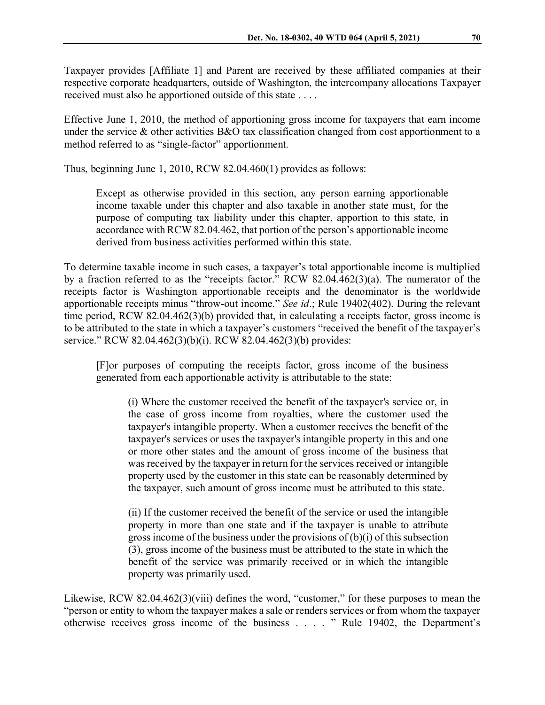Taxpayer provides [Affiliate 1] and Parent are received by these affiliated companies at their respective corporate headquarters, outside of Washington, the intercompany allocations Taxpayer received must also be apportioned outside of this state . . . .

Effective June 1, 2010, the method of apportioning gross income for taxpayers that earn income under the service & other activities B&O tax classification changed from cost apportionment to a method referred to as "single-factor" apportionment.

Thus, beginning June 1, 2010, RCW 82.04.460(1) provides as follows:

Except as otherwise provided in this section, any person earning apportionable income taxable under this chapter and also taxable in another state must, for the purpose of computing tax liability under this chapter, apportion to this state, in accordance with RCW 82.04.462, that portion of the person's apportionable income derived from business activities performed within this state.

To determine taxable income in such cases, a taxpayer's total apportionable income is multiplied by a fraction referred to as the "receipts factor." RCW 82.04.462(3)(a). The numerator of the receipts factor is Washington apportionable receipts and the denominator is the worldwide apportionable receipts minus "throw-out income." *See id*.; Rule 19402(402). During the relevant time period, RCW 82.04.462(3)(b) provided that, in calculating a receipts factor, gross income is to be attributed to the state in which a taxpayer's customers "received the benefit of the taxpayer's service." RCW 82.04.462(3)(b)(i). RCW 82.04.462(3)(b) provides:

[F]or purposes of computing the receipts factor, gross income of the business generated from each apportionable activity is attributable to the state:

(i) Where the customer received the benefit of the taxpayer's service or, in the case of gross income from royalties, where the customer used the taxpayer's intangible property. When a customer receives the benefit of the taxpayer's services or uses the taxpayer's intangible property in this and one or more other states and the amount of gross income of the business that was received by the taxpayer in return for the services received or intangible property used by the customer in this state can be reasonably determined by the taxpayer, such amount of gross income must be attributed to this state.

(ii) If the customer received the benefit of the service or used the intangible property in more than one state and if the taxpayer is unable to attribute gross income of the business under the provisions of (b)(i) of this subsection (3), gross income of the business must be attributed to the state in which the benefit of the service was primarily received or in which the intangible property was primarily used.

Likewise, RCW 82.04.462(3)(viii) defines the word, "customer," for these purposes to mean the "person or entity to whom the taxpayer makes a sale or renders services or from whom the taxpayer otherwise receives gross income of the business . . . . " Rule 19402, the Department's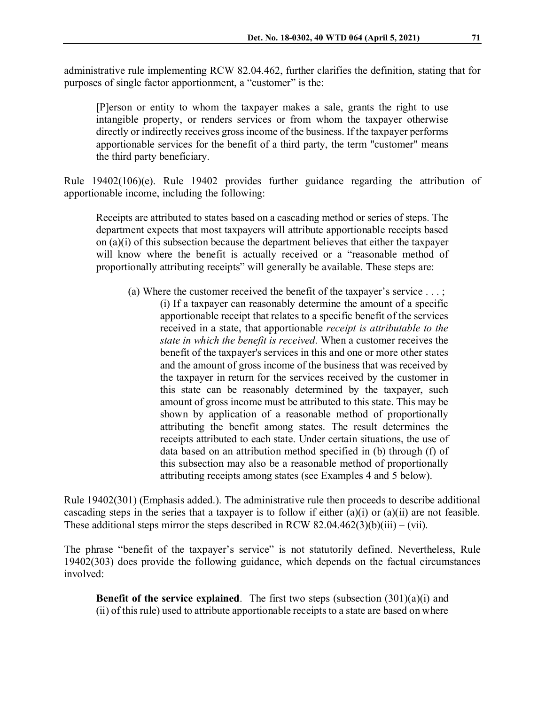administrative rule implementing RCW 82.04.462, further clarifies the definition, stating that for purposes of single factor apportionment, a "customer" is the:

[P]erson or entity to whom the taxpayer makes a sale, grants the right to use intangible property, or renders services or from whom the taxpayer otherwise directly or indirectly receives gross income of the business. If the taxpayer performs apportionable services for the benefit of a third party, the term "customer" means the third party beneficiary.

Rule 19402(106)(e). Rule 19402 provides further guidance regarding the attribution of apportionable income, including the following:

Receipts are attributed to states based on a cascading method or series of steps. The department expects that most taxpayers will attribute apportionable receipts based on (a)(i) of this subsection because the department believes that either the taxpayer will know where the benefit is actually received or a "reasonable method of proportionally attributing receipts" will generally be available. These steps are:

(a) Where the customer received the benefit of the taxpayer's service . . . ; (i) If a taxpayer can reasonably determine the amount of a specific apportionable receipt that relates to a specific benefit of the services received in a state, that apportionable *receipt is attributable to the state in which the benefit is received*. When a customer receives the benefit of the taxpayer's services in this and one or more other states and the amount of gross income of the business that was received by the taxpayer in return for the services received by the customer in this state can be reasonably determined by the taxpayer, such amount of gross income must be attributed to this state. This may be shown by application of a reasonable method of proportionally attributing the benefit among states. The result determines the receipts attributed to each state. Under certain situations, the use of data based on an attribution method specified in (b) through (f) of this subsection may also be a reasonable method of proportionally attributing receipts among states (see Examples 4 and 5 below).

Rule 19402(301) (Emphasis added.). The administrative rule then proceeds to describe additional cascading steps in the series that a taxpayer is to follow if either (a)(i) or (a)(ii) are not feasible. These additional steps mirror the steps described in RCW 82.04.462(3)(b)(iii) – (vii).

The phrase "benefit of the taxpayer's service" is not statutorily defined. Nevertheless, Rule 19402(303) does provide the following guidance, which depends on the factual circumstances involved:

**Benefit of the service explained**. The first two steps (subsection (301)(a)(i) and (ii) of this rule) used to attribute apportionable receipts to a state are based on where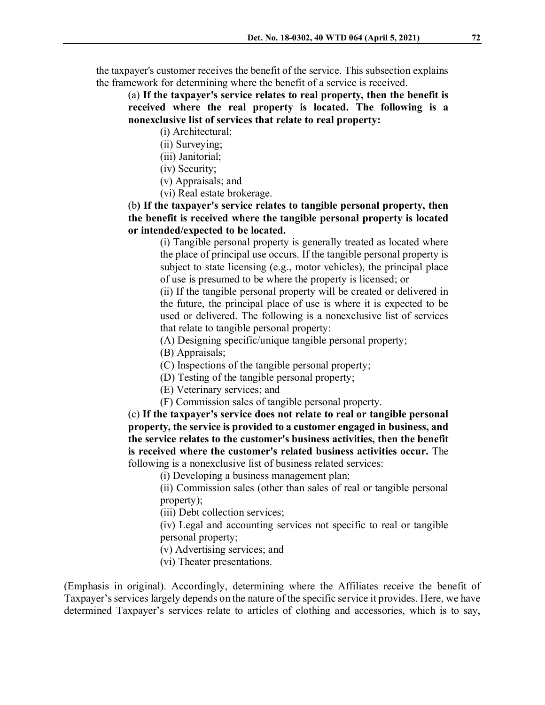the taxpayer's customer receives the benefit of the service. This subsection explains the framework for determining where the benefit of a service is received.

(a) **If the taxpayer's service relates to real property, then the benefit is received where the real property is located. The following is a nonexclusive list of services that relate to real property:** 

(i) Architectural;

(ii) Surveying;

(iii) Janitorial;

(iv) Security;

(v) Appraisals; and

(vi) Real estate brokerage.

(b**) If the taxpayer's service relates to tangible personal property, then the benefit is received where the tangible personal property is located or intended/expected to be located.**

(i) Tangible personal property is generally treated as located where the place of principal use occurs. If the tangible personal property is subject to state licensing (e.g., motor vehicles), the principal place of use is presumed to be where the property is licensed; or

(ii) If the tangible personal property will be created or delivered in the future, the principal place of use is where it is expected to be used or delivered. The following is a nonexclusive list of services that relate to tangible personal property:

(A) Designing specific/unique tangible personal property;

(B) Appraisals;

(C) Inspections of the tangible personal property;

(D) Testing of the tangible personal property;

(E) Veterinary services; and

(F) Commission sales of tangible personal property.

(c) **If the taxpayer's service does not relate to real or tangible personal property, the service is provided to a customer engaged in business, and the service relates to the customer's business activities, then the benefit is received where the customer's related business activities occur.** The following is a nonexclusive list of business related services:

(i) Developing a business management plan;

(ii) Commission sales (other than sales of real or tangible personal property);

(iii) Debt collection services;

(iv) Legal and accounting services not specific to real or tangible personal property;

(v) Advertising services; and

(vi) Theater presentations.

(Emphasis in original). Accordingly, determining where the Affiliates receive the benefit of Taxpayer's services largely depends on the nature of the specific service it provides. Here, we have determined Taxpayer's services relate to articles of clothing and accessories, which is to say,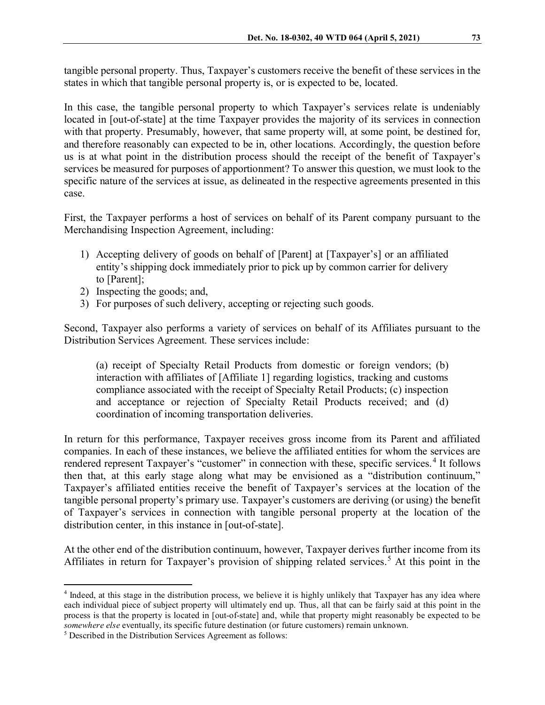tangible personal property. Thus, Taxpayer's customers receive the benefit of these services in the states in which that tangible personal property is, or is expected to be, located.

In this case, the tangible personal property to which Taxpayer's services relate is undeniably located in [out-of-state] at the time Taxpayer provides the majority of its services in connection with that property. Presumably, however, that same property will, at some point, be destined for, and therefore reasonably can expected to be in, other locations. Accordingly, the question before us is at what point in the distribution process should the receipt of the benefit of Taxpayer's services be measured for purposes of apportionment? To answer this question, we must look to the specific nature of the services at issue, as delineated in the respective agreements presented in this case.

First, the Taxpayer performs a host of services on behalf of its Parent company pursuant to the Merchandising Inspection Agreement, including:

- 1) Accepting delivery of goods on behalf of [Parent] at [Taxpayer's] or an affiliated entity's shipping dock immediately prior to pick up by common carrier for delivery to [Parent];
- 2) Inspecting the goods; and,
- 3) For purposes of such delivery, accepting or rejecting such goods.

Second, Taxpayer also performs a variety of services on behalf of its Affiliates pursuant to the Distribution Services Agreement. These services include:

(a) receipt of Specialty Retail Products from domestic or foreign vendors; (b) interaction with affiliates of [Affiliate 1] regarding logistics, tracking and customs compliance associated with the receipt of Specialty Retail Products; (c) inspection and acceptance or rejection of Specialty Retail Products received; and (d) coordination of incoming transportation deliveries.

In return for this performance, Taxpayer receives gross income from its Parent and affiliated companies. In each of these instances, we believe the affiliated entities for whom the services are rendered represent Taxpayer's "customer" in connection with these, specific services.<sup>[4](#page-9-0)</sup> It follows then that, at this early stage along what may be envisioned as a "distribution continuum," Taxpayer's affiliated entities receive the benefit of Taxpayer's services at the location of the tangible personal property's primary use. Taxpayer's customers are deriving (or using) the benefit of Taxpayer's services in connection with tangible personal property at the location of the distribution center, in this instance in [out-of-state].

At the other end of the distribution continuum, however, Taxpayer derives further income from its Affiliates in return for Taxpayer's provision of shipping related services.<sup>[5](#page-9-1)</sup> At this point in the

<span id="page-9-0"></span><sup>&</sup>lt;sup>4</sup> Indeed, at this stage in the distribution process, we believe it is highly unlikely that Taxpayer has any idea where each individual piece of subject property will ultimately end up. Thus, all that can be fairly said at this point in the process is that the property is located in [out-of-state] and, while that property might reasonably be expected to be *somewhere else* eventually, its specific future destination (or future customers) remain unknown. 5 Described in the Distribution Services Agreement as follows:

<span id="page-9-1"></span>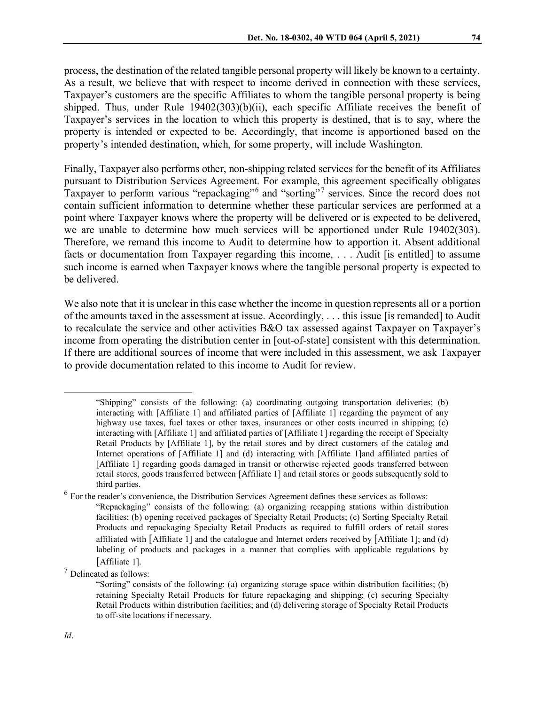process, the destination of the related tangible personal property will likely be known to a certainty. As a result, we believe that with respect to income derived in connection with these services, Taxpayer's customers are the specific Affiliates to whom the tangible personal property is being shipped. Thus, under Rule 19402(303)(b)(ii), each specific Affiliate receives the benefit of Taxpayer's services in the location to which this property is destined, that is to say, where the property is intended or expected to be. Accordingly, that income is apportioned based on the property's intended destination, which, for some property, will include Washington.

Finally, Taxpayer also performs other, non-shipping related services for the benefit of its Affiliates pursuant to Distribution Services Agreement. For example, this agreement specifically obligates Taxpayer to perform various "repackaging"[6](#page-10-0) and "sorting" [7](#page-10-1) services. Since the record does not contain sufficient information to determine whether these particular services are performed at a point where Taxpayer knows where the property will be delivered or is expected to be delivered, we are unable to determine how much services will be apportioned under Rule 19402(303). Therefore, we remand this income to Audit to determine how to apportion it. Absent additional facts or documentation from Taxpayer regarding this income, . . . Audit [is entitled] to assume such income is earned when Taxpayer knows where the tangible personal property is expected to be delivered.

We also note that it is unclear in this case whether the income in question represents all or a portion of the amounts taxed in the assessment at issue. Accordingly, . . . this issue [is remanded] to Audit to recalculate the service and other activities B&O tax assessed against Taxpayer on Taxpayer's income from operating the distribution center in [out-of-state] consistent with this determination. If there are additional sources of income that were included in this assessment, we ask Taxpayer to provide documentation related to this income to Audit for review.

 <sup>&</sup>quot;Shipping" consists of the following: (a) coordinating outgoing transportation deliveries; (b) interacting with [Affiliate 1] and affiliated parties of [Affiliate 1] regarding the payment of any highway use taxes, fuel taxes or other taxes, insurances or other costs incurred in shipping; (c) interacting with [Affiliate 1] and affiliated parties of [Affiliate 1] regarding the receipt of Specialty Retail Products by [Affiliate 1], by the retail stores and by direct customers of the catalog and Internet operations of [Affiliate 1] and (d) interacting with [Affiliate 1]and affiliated parties of [Affiliate 1] regarding goods damaged in transit or otherwise rejected goods transferred between retail stores, goods transferred between [Affiliate 1] and retail stores or goods subsequently sold to third parties.

<span id="page-10-0"></span> $<sup>6</sup>$  For the reader's convenience, the Distribution Services Agreement defines these services as follows:</sup> "Repackaging" consists of the following: (a) organizing recapping stations within distribution facilities; (b) opening received packages of Specialty Retail Products; (c) Sorting Specialty Retail Products and repackaging Specialty Retail Products as required to fulfill orders of retail stores affiliated with [Affiliate 1] and the catalogue and Internet orders received by [Affiliate 1]; and (d) labeling of products and packages in a manner that complies with applicable regulations by [Affiliate 1].

<span id="page-10-1"></span><sup>7</sup> Delineated as follows:

<sup>&</sup>quot;Sorting" consists of the following: (a) organizing storage space within distribution facilities; (b) retaining Specialty Retail Products for future repackaging and shipping; (c) securing Specialty Retail Products within distribution facilities; and (d) delivering storage of Specialty Retail Products to off-site locations if necessary.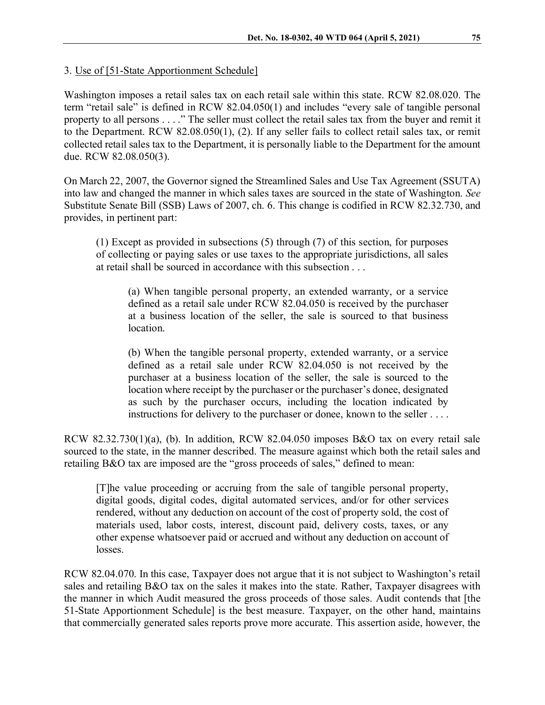3. Use of [51-State Apportionment Schedule]

Washington imposes a retail sales tax on each retail sale within this state. RCW 82.08.020. The term "retail sale" is defined in RCW 82.04.050(1) and includes "every sale of tangible personal property to all persons . . . ." The seller must collect the retail sales tax from the buyer and remit it to the Department. RCW 82.08.050(1), (2). If any seller fails to collect retail sales tax, or remit collected retail sales tax to the Department, it is personally liable to the Department for the amount due. RCW 82.08.050(3).

On March 22, 2007, the Governor signed the Streamlined Sales and Use Tax Agreement (SSUTA) into law and changed the manner in which sales taxes are sourced in the state of Washington. *See* Substitute Senate Bill (SSB) Laws of 2007, ch. 6. This change is codified in RCW 82.32.730, and provides, in pertinent part:

(1) Except as provided in subsections (5) through (7) of this section, for purposes of collecting or paying sales or use taxes to the appropriate jurisdictions, all sales at retail shall be sourced in accordance with this subsection . . .

(a) When tangible personal property, an extended warranty, or a service defined as a retail sale under RCW 82.04.050 is received by the purchaser at a business location of the seller, the sale is sourced to that business location.

(b) When the tangible personal property, extended warranty, or a service defined as a retail sale under RCW 82.04.050 is not received by the purchaser at a business location of the seller, the sale is sourced to the location where receipt by the purchaser or the purchaser's donee, designated as such by the purchaser occurs, including the location indicated by instructions for delivery to the purchaser or donee, known to the seller . . . .

RCW 82.32.730(1)(a), (b). In addition, RCW 82.04.050 imposes B&O tax on every retail sale sourced to the state, in the manner described. The measure against which both the retail sales and retailing B&O tax are imposed are the "gross proceeds of sales," defined to mean:

[T]he value proceeding or accruing from the sale of tangible personal property, digital goods, digital codes, digital automated services, and/or for other services rendered, without any deduction on account of the cost of property sold, the cost of materials used, labor costs, interest, discount paid, delivery costs, taxes, or any other expense whatsoever paid or accrued and without any deduction on account of losses.

RCW 82.04.070. In this case, Taxpayer does not argue that it is not subject to Washington's retail sales and retailing B&O tax on the sales it makes into the state. Rather, Taxpayer disagrees with the manner in which Audit measured the gross proceeds of those sales. Audit contends that [the 51-State Apportionment Schedule] is the best measure. Taxpayer, on the other hand, maintains that commercially generated sales reports prove more accurate. This assertion aside, however, the